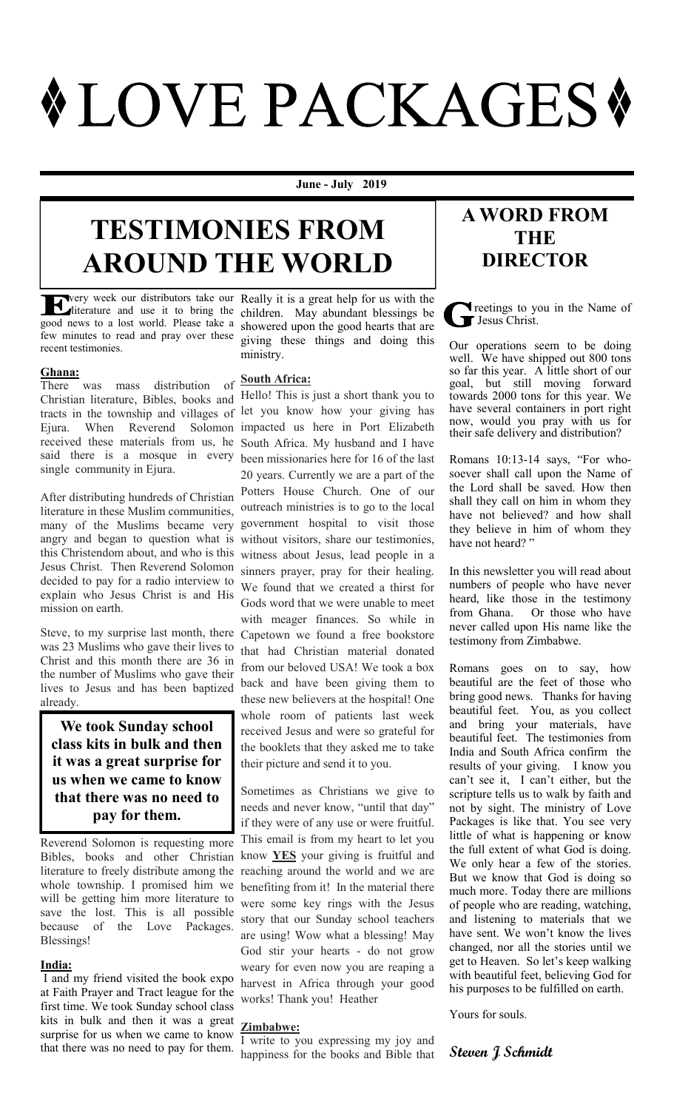# **\*LOVE PACKAGES\***

**June - July 2019**

## **TESTIMONIES FROM AROUND THE WORLD**

few minutes to read and pray over these recent testimonies.

**Ghana:**<br>There was mass distribution There was mass distribution of Christian literature, Bibles, books and Hello! This is just a short thank you to tracts in the township and villages of Ejura. When Reverend Solomon received these materials from us, he said there is a mosque in every single community in Ejura.

After distributing hundreds of Christian literature in these Muslim communities, many of the Muslims became very angry and began to question what is this Christendom about, and who is this Jesus Christ. Then Reverend Solomon decided to pay for a radio interview to explain who Jesus Christ is and His mission on earth.

Steve, to my surprise last month, there was 23 Muslims who gave their lives to Christ and this month there are 36 in the number of Muslims who gave their lives to Jesus and has been baptized already.

**We took Sunday school class kits in bulk and then it was a great surprise for us when we came to know that there was no need to pay for them.** 

Reverend Solomon is requesting more Bibles, books and other Christian literature to freely distribute among the whole township. I promised him we will be getting him more literature to save the lost. This is all possible because of the Love Packages. Blessings!

#### **India:**

I and my friend visited the book expo at Faith Prayer and Tract league for the first time. We took Sunday school class kits in bulk and then it was a great surprise for us when we came to know that there was no need to pay for them.

very week our distributors take our Really it is a great help for us with the literature and use it to bring the children. May abundant blessings be good news to a lost world. Please take a showered upon the good hearts that are giving these things and doing this ministry.

### **South Africa:**

let you know how your giving has impacted us here in Port Elizabeth South Africa. My husband and I have been missionaries here for 16 of the last 20 years. Currently we are a part of the Potters House Church. One of our outreach ministries is to go to the local government hospital to visit those without visitors, share our testimonies, witness about Jesus, lead people in a sinners prayer, pray for their healing. We found that we created a thirst for Gods word that we were unable to meet with meager finances. So while in Capetown we found a free bookstore that had Christian material donated from our beloved USA! We took a box back and have been giving them to these new believers at the hospital! One whole room of patients last week received Jesus and were so grateful for the booklets that they asked me to take their picture and send it to you.

Sometimes as Christians we give to needs and never know, "until that day" if they were of any use or were fruitful. This email is from my heart to let you know **YES** your giving is fruitful and reaching around the world and we are benefiting from it! In the material there were some key rings with the Jesus story that our Sunday school teachers are using! Wow what a blessing! May God stir your hearts - do not grow weary for even now you are reaping a harvest in Africa through your good works! Thank you! Heather

#### **Zimbabwe:**

I write to you expressing my joy and happiness for the books and Bible that

#### **A WORD FROM THE DIRECTOR**

**T** reetings to you in the Name of Jesus Christ.

Our operations seem to be doing well. We have shipped out 800 tons so far this year. A little short of our goal, but still moving forward towards 2000 tons for this year. We have several containers in port right now, would you pray with us for their safe delivery and distribution?

Romans 10:13-14 says, "For whosoever shall call upon the Name of the Lord shall be saved. How then shall they call on him in whom they have not believed? and how shall they believe in him of whom they have not heard?"

In this newsletter you will read about numbers of people who have never heard, like those in the testimony from Ghana. Or those who have never called upon His name like the testimony from Zimbabwe.

Romans goes on to say, how beautiful are the feet of those who bring good news. Thanks for having beautiful feet. You, as you collect and bring your materials, have beautiful feet. The testimonies from India and South Africa confirm the results of your giving. I know you can't see it, I can't either, but the scripture tells us to walk by faith and not by sight. The ministry of Love Packages is like that. You see very little of what is happening or know the full extent of what God is doing. We only hear a few of the stories. But we know that God is doing so much more. Today there are millions of people who are reading, watching, and listening to materials that we have sent. We won't know the lives changed, nor all the stories until we get to Heaven. So let's keep walking with beautiful feet, believing God for his purposes to be fulfilled on earth.

Yours for souls.

#### **Steven J Schmidt**